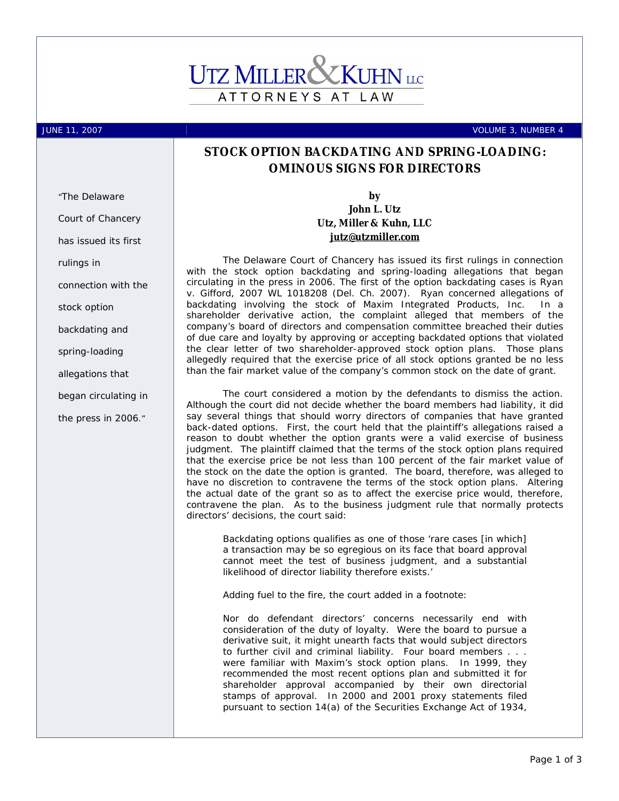## **UTZ MILLER** ATTORNEYS AT LAW

*"The Delaware* 

JUNE 11, 2007 VOLUME 3, NUMBER 4

## **STOCK OPTION BACKDATING AND SPRING-LOADING: OMINOUS SIGNS FOR DIRECTORS**

**by** 

**John L. Utz Utz, Miller & Kuhn, LLC [jutz@utzmiller.com](mailto:jutz@utzmiller.com)**

The Delaware Court of Chancery has issued its first rulings in connection with the stock option backdating and spring-loading allegations that began circulating in the press in 2006. The first of the option backdating cases is *Ryan v. Gifford*, 2007 WL 1018208 (Del. Ch. 2007). *Ryan* concerned allegations of backdating involving the stock of Maxim Integrated Products, Inc. In a shareholder derivative action, the complaint alleged that members of the company's board of directors and compensation committee breached their duties of due care and loyalty by approving or accepting backdated options that violated the clear letter of two shareholder-approved stock option plans. Those plans allegedly required that the exercise price of all stock options granted be no less than the fair market value of the company's common stock on the date of grant.

The court considered a motion by the defendants to dismiss the action. Although the court did not decide whether the board members had liability, it did say several things that should worry directors of companies that have granted back-dated options. First, the court held that the plaintiff's allegations raised a reason to doubt whether the option grants were a valid exercise of business judgment. The plaintiff claimed that the terms of the stock option plans *required* that the exercise price be not less than 100 percent of the fair market value of the stock on the date the option is granted. The board, therefore, was alleged to have no discretion to contravene the terms of the stock option plans. Altering the actual date of the grant so as to affect the exercise price would, therefore, contravene the plan. As to the business judgment rule that normally protects directors' decisions, the court said:

Backdating options qualifies as one of those 'rare cases [in which] a transaction may be so egregious on its face that board approval cannot meet the test of business judgment, and a substantial likelihood of director liability therefore exists.'

Adding fuel to the fire, the court added in a footnote:

Nor do defendant directors' concerns necessarily end with consideration of the duty of loyalty. Were the board to pursue a derivative suit, it might unearth facts that would subject directors to further civil and criminal liability. Four board members . . . were familiar with Maxim's stock option plans. In 1999, they recommended the most recent options plan and submitted it for shareholder approval accompanied by their own directorial stamps of approval. In 2000 and 2001 proxy statements filed pursuant to section 14(a) of the Securities Exchange Act of 1934,

*Court of Chancery has issued its first rulings in connection with the stock option backdating and spring-loading allegations that began circulating in the press in 2006."*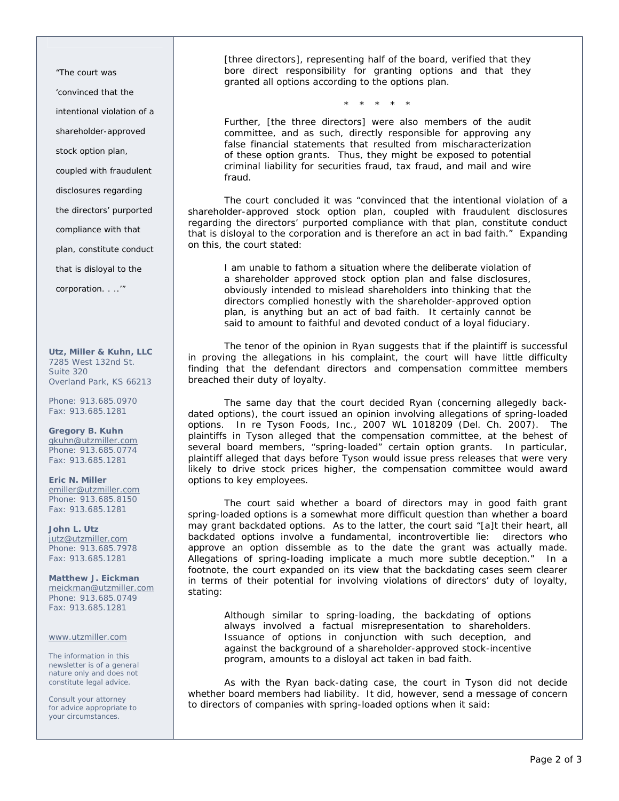*"The court was 'convinced that the* 

*intentional violation of a* 

*shareholder-approved* 

*stock option plan,* 

*coupled with fraudulent* 

*disclosures regarding* 

*the directors' purported* 

*compliance with that* 

*plan, constitute conduct* 

*that is disloyal to the* 

*corporation. . ..'"* 

**Utz, Miller & Kuhn, LLC**  7285 West 132nd St. Suite 320 Overland Park, KS 66213

Phone: 913.685.0970 Fax: 913.685.1281

**Gregory B. Kuhn**  [gkuhn@utzmiller.com](mailto:gkuhn@utzmiller.com) Phone: 913.685.0774 Fax: 913.685.1281

**Eric N. Miller**  [emiller@utzmiller.com](mailto:emiller@utzmiller.com) Phone: 913.685.8150 Fax: 913.685.1281

**John L. Utz**  [jutz@utzmiller.com](mailto:jutz@utzmiller.com) Phone: 913.685.7978 Fax: 913.685.1281

**Matthew J. Eickman**  [meickman@utzmiller.com](mailto:meickman@utzmiller.com) Phone: 913.685.0749 Fax: 913.685.1281

## [www.utzmiller.com](http://www.utzmiller.com)

The information in this newsletter is of a general nature only and does not constitute legal advice.

Consult your attorney for advice appropriate to your circumstances.

[three directors], representing half of the board, verified that they bore direct responsibility for granting options and that they granted all options according to the options plan.

\* \* \* \* \*

Further, [the three directors] were also members of the audit committee, and as such, directly responsible for approving any false financial statements that resulted from mischaracterization of these option grants. Thus, they might be exposed to potential criminal liability for securities fraud, tax fraud, and mail and wire fraud.

The court concluded it was "convinced that the intentional violation of a shareholder-approved stock option plan, coupled with fraudulent disclosures regarding the directors' purported compliance with that plan, constitute conduct that is disloyal to the corporation and is therefore an act in bad faith." Expanding on this, the court stated:

I am unable to fathom a situation where the deliberate violation of a shareholder approved stock option plan and false disclosures, obviously intended to mislead shareholders into thinking that the directors complied honestly with the shareholder-approved option plan, is anything but an act of bad faith. It certainly cannot be said to amount to faithful and devoted conduct of a loyal fiduciary.

The tenor of the opinion in *Ryan* suggests that if the plaintiff is successful in proving the allegations in his complaint, the court will have little difficulty finding that the defendant directors and compensation committee members breached their duty of loyalty.

The same day that the court decided *Ryan* (concerning allegedly backdated options), the court issued an opinion involving allegations of spring-loaded options. *In re Tyson Foods, Inc.*, 2007 WL 1018209 (Del. Ch. 2007). The plaintiffs in *Tyson* alleged that the compensation committee, at the behest of several board members, "spring-loaded" certain option grants. In particular, plaintiff alleged that days before Tyson would issue press releases that were very likely to drive stock prices higher, the compensation committee would award options to key employees.

The court said whether a board of directors may in good faith grant spring-loaded options is a somewhat more difficult question than whether a board may grant backdated options. As to the latter, the court said "[a]t their heart, all backdated options involve a fundamental, incontrovertible lie: directors who approve an option dissemble as to the date the grant was actually made. Allegations of spring-loading implicate a much more subtle deception." In a footnote, the court expanded on its view that the backdating cases seem clearer in terms of their potential for involving violations of directors' duty of loyalty, stating:

Although similar to spring-loading, the backdating of options always involved a factual misrepresentation to shareholders. Issuance of options in conjunction with such deception, and against the background of a shareholder-approved stock-incentive program, amounts to a disloyal act taken in bad faith.

As with the *Ryan* back-dating case, the court in *Tyson* did not decide whether board members had liability. It did, however, send a message of concern to directors of companies with spring-loaded options when it said: